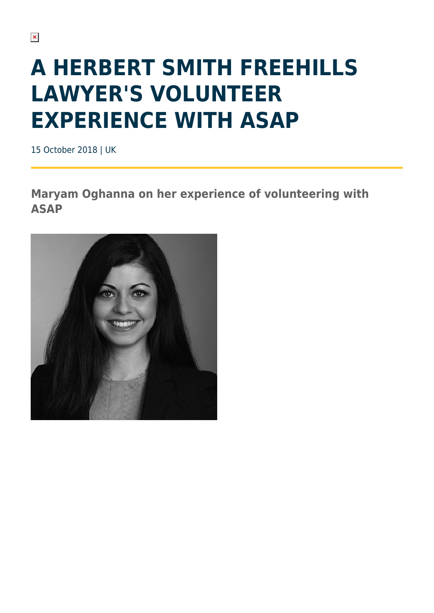## **A HERBERT SMITH FREEHILLS LAWYER'S VOLUNTEER EXPERIENCE WITH ASAP**

15 October 2018 | UK

**Maryam Oghanna on her experience of volunteering with ASAP**

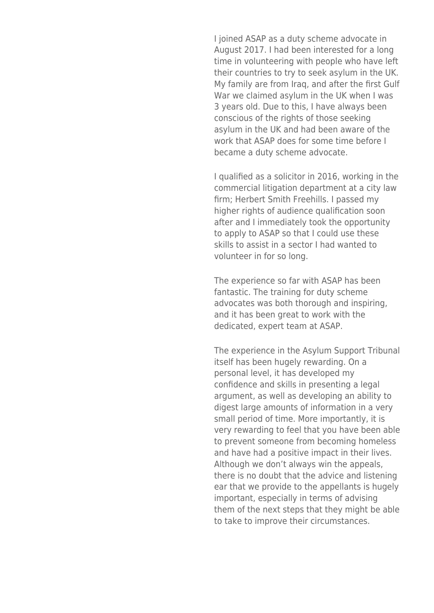I joined ASAP as a duty scheme advocate in August 2017. I had been interested for a long time in volunteering with people who have left their countries to try to seek asylum in the UK. My family are from Iraq, and after the first Gulf War we claimed asylum in the UK when I was 3 years old. Due to this, I have always been conscious of the rights of those seeking asylum in the UK and had been aware of the work that ASAP does for some time before I became a duty scheme advocate.

I qualified as a solicitor in 2016, working in the commercial litigation department at a city law firm; Herbert Smith Freehills. I passed my higher rights of audience qualification soon after and I immediately took the opportunity to apply to ASAP so that I could use these skills to assist in a sector I had wanted to volunteer in for so long.

The experience so far with ASAP has been fantastic. The training for duty scheme advocates was both thorough and inspiring, and it has been great to work with the dedicated, expert team at ASAP.

The experience in the Asylum Support Tribunal itself has been hugely rewarding. On a personal level, it has developed my confidence and skills in presenting a legal argument, as well as developing an ability to digest large amounts of information in a very small period of time. More importantly, it is very rewarding to feel that you have been able to prevent someone from becoming homeless and have had a positive impact in their lives. Although we don't always win the appeals, there is no doubt that the advice and listening ear that we provide to the appellants is hugely important, especially in terms of advising them of the next steps that they might be able to take to improve their circumstances.